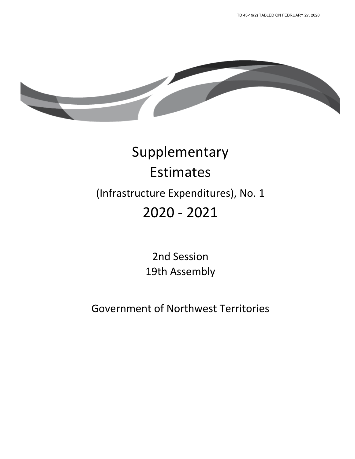

# Supplementary Estimates (Infrastructure Expenditures), No. 1 2020 - 2021

2nd Session 19th Assembly

Government of Northwest Territories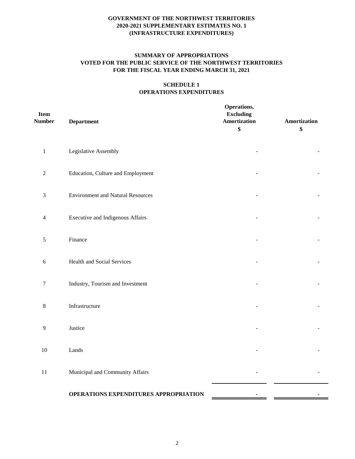# **SUMMARY OF APPROPRIATIONS VOTED FOR THE PUBLIC SERVICE OF THE NORTHWEST TERRITORIES FOR THE FISCAL YEAR ENDING MARCH 31, 2021**

#### **SCHEDULE 1 OPERATIONS EXPENDITURES**

| <b>Item</b><br><b>Number</b> | <b>Department</b>                        | Operations,<br><b>Excluding</b><br>Amortization<br>\$ | Amortization<br>\$ |
|------------------------------|------------------------------------------|-------------------------------------------------------|--------------------|
| $\,1\,$                      | Legislative Assembly                     |                                                       |                    |
| $\sqrt{2}$                   | Education, Culture and Employment        |                                                       |                    |
| 3                            | <b>Environment and Natural Resources</b> |                                                       |                    |
| 4                            | <b>Executive and Indigenous Affairs</b>  |                                                       |                    |
| $\mathfrak s$                | Finance                                  |                                                       |                    |
| 6                            | Health and Social Services               |                                                       |                    |
| $\tau$                       | Industry, Tourism and Investment         |                                                       |                    |
| 8                            | Infrastructure                           |                                                       |                    |
| 9                            | Justice                                  |                                                       |                    |
| $10\,$                       | Lands                                    |                                                       |                    |
| $11\,$                       | Municipal and Community Affairs          |                                                       |                    |
|                              | OPERATIONS EXPENDITURES APPROPRIATION    | ٠                                                     |                    |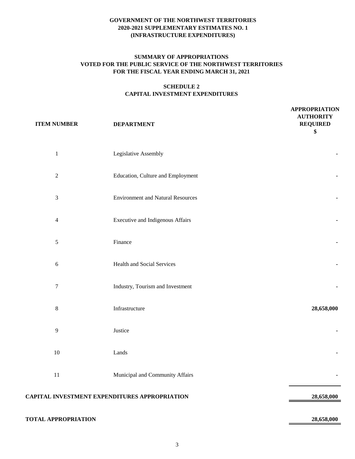#### **SUMMARY OF APPROPRIATIONS VOTED FOR THE PUBLIC SERVICE OF THE NORTHWEST TERRITORIES FOR THE FISCAL YEAR ENDING MARCH 31, 2021**

# **SCHEDULE 2 CAPITAL INVESTMENT EXPENDITURES**

| <b>ITEM NUMBER</b>         | <b>DEPARTMENT</b>                             | <b>APPROPRIATION</b><br><b>AUTHORITY</b><br><b>REQUIRED</b><br>\$ |
|----------------------------|-----------------------------------------------|-------------------------------------------------------------------|
| $\mathbf{1}$               | Legislative Assembly                          |                                                                   |
| $\sqrt{2}$                 | Education, Culture and Employment             |                                                                   |
| $\sqrt{3}$                 | <b>Environment and Natural Resources</b>      |                                                                   |
| $\overline{4}$             | <b>Executive and Indigenous Affairs</b>       |                                                                   |
| $\sqrt{5}$                 | Finance                                       |                                                                   |
| $\sqrt{6}$                 | <b>Health and Social Services</b>             |                                                                   |
| $\boldsymbol{7}$           | Industry, Tourism and Investment              |                                                                   |
| $\,8\,$                    | Infrastructure                                | 28,658,000                                                        |
| $\overline{9}$             | Justice                                       |                                                                   |
| $10\,$                     | Lands                                         |                                                                   |
| $11\,$                     | Municipal and Community Affairs               |                                                                   |
|                            | CAPITAL INVESTMENT EXPENDITURES APPROPRIATION | 28,658,000                                                        |
| <b>TOTAL APPROPRIATION</b> |                                               | 28,658,000                                                        |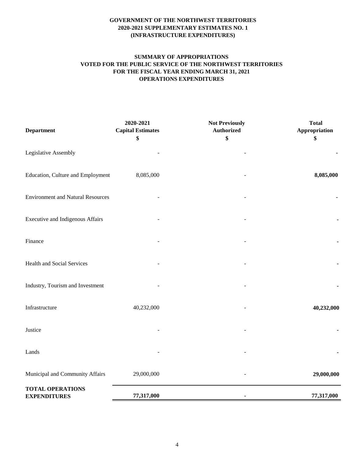# **SUMMARY OF APPROPRIATIONS VOTED FOR THE PUBLIC SERVICE OF THE NORTHWEST TERRITORIES FOR THE FISCAL YEAR ENDING MARCH 31, 2021 OPERATIONS EXPENDITURES**

| <b>Department</b>                              | 2020-2021<br><b>Capital Estimates</b><br>\$ | <b>Not Previously</b><br><b>Authorized</b><br>\$ | <b>Total</b><br>Appropriation<br>\$ |
|------------------------------------------------|---------------------------------------------|--------------------------------------------------|-------------------------------------|
| Legislative Assembly                           |                                             |                                                  |                                     |
| Education, Culture and Employment              | 8,085,000                                   |                                                  | 8,085,000                           |
| <b>Environment and Natural Resources</b>       |                                             |                                                  |                                     |
| <b>Executive and Indigenous Affairs</b>        |                                             |                                                  |                                     |
| Finance                                        |                                             |                                                  |                                     |
| Health and Social Services                     |                                             |                                                  |                                     |
| Industry, Tourism and Investment               |                                             |                                                  |                                     |
| Infrastructure                                 | 40,232,000                                  |                                                  | 40,232,000                          |
| Justice                                        |                                             |                                                  |                                     |
| Lands                                          |                                             |                                                  |                                     |
| Municipal and Community Affairs                | 29,000,000                                  |                                                  | 29,000,000                          |
| <b>TOTAL OPERATIONS</b><br><b>EXPENDITURES</b> | 77,317,000                                  | ٠                                                | 77,317,000                          |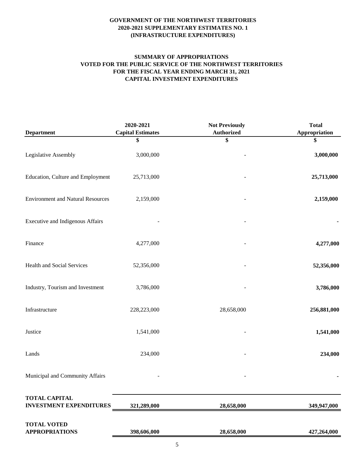# **SUMMARY OF APPROPRIATIONS VOTED FOR THE PUBLIC SERVICE OF THE NORTHWEST TERRITORIES FOR THE FISCAL YEAR ENDING MARCH 31, 2021 CAPITAL INVESTMENT EXPENDITURES**

|                                                        | 2020-2021                | <b>Not Previously</b> | <b>Total</b>  |
|--------------------------------------------------------|--------------------------|-----------------------|---------------|
| <b>Department</b>                                      | <b>Capital Estimates</b> | <b>Authorized</b>     | Appropriation |
|                                                        | \$                       | \$                    | \$            |
| Legislative Assembly                                   | 3,000,000                |                       | 3,000,000     |
| Education, Culture and Employment                      | 25,713,000               |                       | 25,713,000    |
| <b>Environment and Natural Resources</b>               | 2,159,000                |                       | 2,159,000     |
| Executive and Indigenous Affairs                       |                          |                       |               |
| Finance                                                | 4,277,000                |                       | 4,277,000     |
| Health and Social Services                             | 52,356,000               |                       | 52,356,000    |
| Industry, Tourism and Investment                       | 3,786,000                |                       | 3,786,000     |
| Infrastructure                                         | 228,223,000              | 28,658,000            | 256,881,000   |
| Justice                                                | 1,541,000                |                       | 1,541,000     |
| Lands                                                  | 234,000                  |                       | 234,000       |
| Municipal and Community Affairs                        |                          |                       |               |
| <b>TOTAL CAPITAL</b><br><b>INVESTMENT EXPENDITURES</b> | 321,289,000              | 28,658,000            | 349,947,000   |
| <b>TOTAL VOTED</b><br><b>APPROPRIATIONS</b>            | 398,606,000              | 28,658,000            | 427,264,000   |